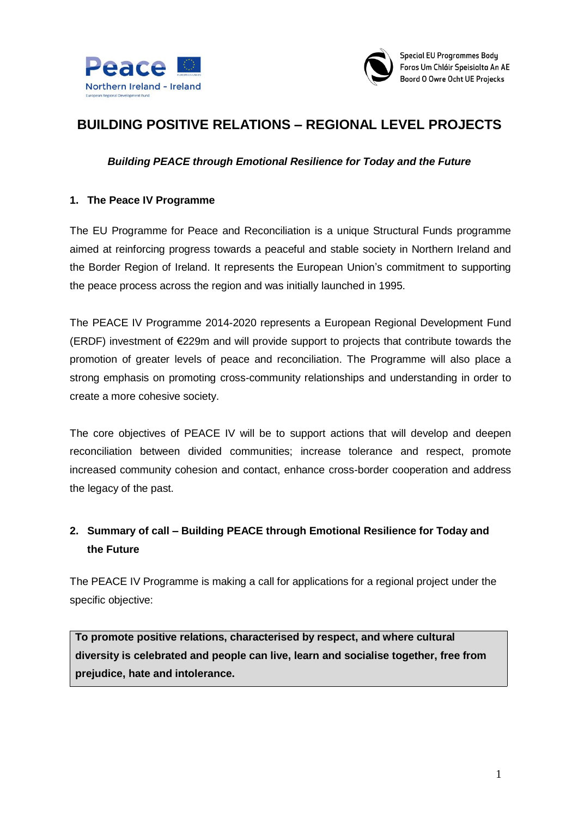



# **BUILDING POSITIVE RELATIONS – REGIONAL LEVEL PROJECTS**

#### *Building PEACE through Emotional Resilience for Today and the Future*

#### **1. The Peace IV Programme**

The EU Programme for Peace and Reconciliation is a unique Structural Funds programme aimed at reinforcing progress towards a peaceful and stable society in Northern Ireland and the Border Region of Ireland. It represents the European Union's commitment to supporting the peace process across the region and was initially launched in 1995.

The PEACE IV Programme 2014-2020 represents a European Regional Development Fund (ERDF) investment of €229m and will provide support to projects that contribute towards the promotion of greater levels of peace and reconciliation. The Programme will also place a strong emphasis on promoting cross-community relationships and understanding in order to create a more cohesive society.

The core objectives of PEACE IV will be to support actions that will develop and deepen reconciliation between divided communities; increase tolerance and respect, promote increased community cohesion and contact, enhance cross-border cooperation and address the legacy of the past.

## **2. Summary of call – Building PEACE through Emotional Resilience for Today and the Future**

The PEACE IV Programme is making a call for applications for a regional project under the specific objective:

**To promote positive relations, characterised by respect, and where cultural diversity is celebrated and people can live, learn and socialise together, free from prejudice, hate and intolerance.**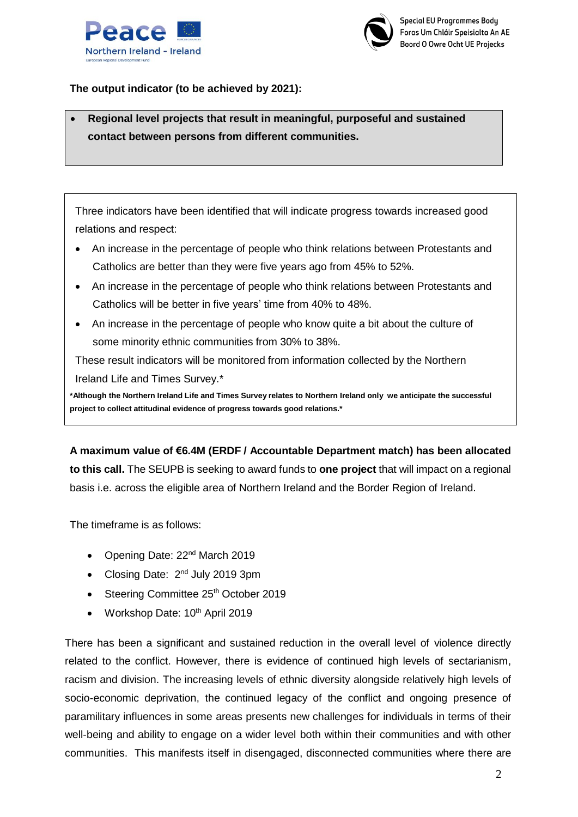



#### **The output indicator (to be achieved by 2021):**

 **Regional level projects that result in meaningful, purposeful and sustained contact between persons from different communities.**

Three indicators have been identified that will indicate progress towards increased good relations and respect:

- An increase in the percentage of people who think relations between Protestants and Catholics are better than they were five years ago from 45% to 52%.
- An increase in the percentage of people who think relations between Protestants and Catholics will be better in five years' time from 40% to 48%.
- An increase in the percentage of people who know quite a bit about the culture of some minority ethnic communities from 30% to 38%.

These result indicators will be monitored from information collected by the Northern Ireland Life and Times Survey.\*

**\*Although the Northern Ireland Life and Times Survey relates to Northern Ireland only we anticipate the successful project to collect attitudinal evidence of progress towards good relations.\***

**A maximum value of €6.4M (ERDF / Accountable Department match) has been allocated to this call.** The SEUPB is seeking to award funds to **one project** that will impact on a regional basis i.e. across the eligible area of Northern Ireland and the Border Region of Ireland.

The timeframe is as follows:

- Opening Date: 22<sup>nd</sup> March 2019
- Closing Date: 2<sup>nd</sup> July 2019 3pm
- Steering Committee 25<sup>th</sup> October 2019
- Workshop Date:  $10^{th}$  April 2019

There has been a significant and sustained reduction in the overall level of violence directly related to the conflict. However, there is evidence of continued high levels of sectarianism, racism and division. The increasing levels of ethnic diversity alongside relatively high levels of socio-economic deprivation, the continued legacy of the conflict and ongoing presence of paramilitary influences in some areas presents new challenges for individuals in terms of their well-being and ability to engage on a wider level both within their communities and with other communities. This manifests itself in disengaged, disconnected communities where there are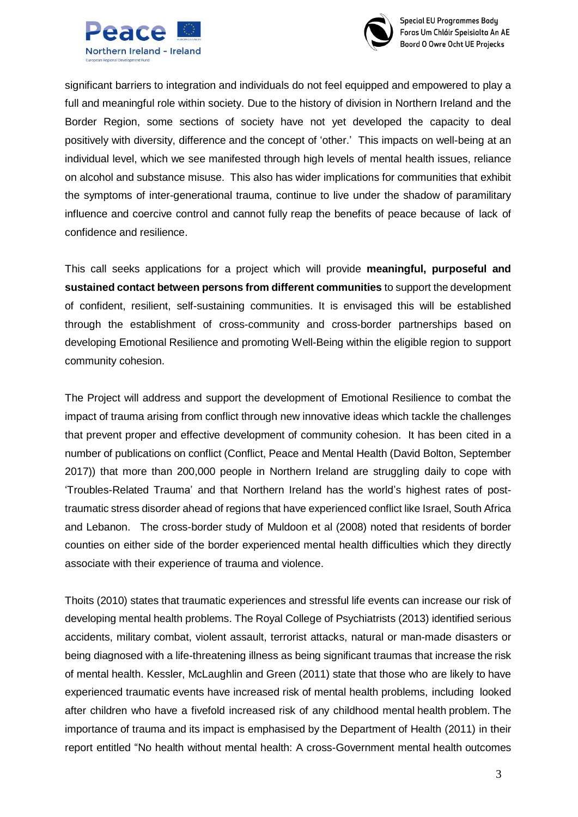



**Special EU Programmes Body** Foras Um Chláir Speisialta An AE Boord O Owre Ocht UE Projecks

significant barriers to integration and individuals do not feel equipped and empowered to play a full and meaningful role within society. Due to the history of division in Northern Ireland and the Border Region, some sections of society have not yet developed the capacity to deal positively with diversity, difference and the concept of 'other.' This impacts on well-being at an individual level, which we see manifested through high levels of mental health issues, reliance on alcohol and substance misuse. This also has wider implications for communities that exhibit the symptoms of inter-generational trauma, continue to live under the shadow of paramilitary influence and coercive control and cannot fully reap the benefits of peace because of lack of confidence and resilience.

This call seeks applications for a project which will provide **meaningful, purposeful and sustained contact between persons from different communities** to support the development of confident, resilient, self-sustaining communities. It is envisaged this will be established through the establishment of cross-community and cross-border partnerships based on developing Emotional Resilience and promoting Well-Being within the eligible region to support community cohesion.

The Project will address and support the development of Emotional Resilience to combat the impact of trauma arising from conflict through new innovative ideas which tackle the challenges that prevent proper and effective development of community cohesion. It has been cited in a number of publications on conflict (Conflict, Peace and Mental Health (David Bolton, September 2017)) that more than 200,000 people in Northern Ireland are struggling daily to cope with 'Troubles-Related Trauma' and that Northern Ireland has the world's highest rates of posttraumatic stress disorder ahead of regions that have experienced conflict like Israel, South Africa and Lebanon. The cross-border study of Muldoon et al (2008) noted that residents of border counties on either side of the border experienced mental health difficulties which they directly associate with their experience of trauma and violence.

Thoits (2010) states that traumatic experiences and stressful life events can increase our risk of developing mental health problems. The Royal College of Psychiatrists (2013) identified serious accidents, military combat, violent assault, terrorist attacks, natural or man-made disasters or being diagnosed with a life-threatening illness as being significant traumas that increase the risk of mental health. Kessler, McLaughlin and Green (2011) state that those who are likely to have experienced traumatic events have increased risk of mental health problems, including looked after children who have a fivefold increased risk of any childhood mental health problem. The importance of trauma and its impact is emphasised by the Department of Health (2011) in their report entitled "No health without mental health: A cross-Government mental health outcomes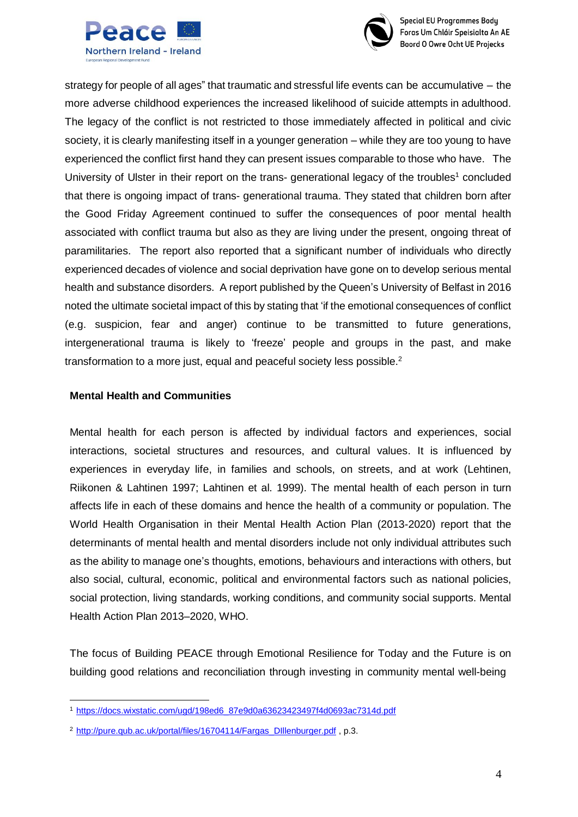



**Special EU Programmes Body** Foras Um Chláir Speisialta An AE **Boord O Owre Ocht UE Projecks** 

strategy for people of all ages" that traumatic and stressful life events can be accumulative – the more adverse childhood experiences the increased likelihood of suicide attempts in adulthood. The legacy of the conflict is not restricted to those immediately affected in political and civic society, it is clearly manifesting itself in a younger generation – while they are too young to have experienced the conflict first hand they can present issues comparable to those who have. The University of Ulster in their report on the trans- generational legacy of the troubles<sup>1</sup> concluded that there is ongoing impact of trans- generational trauma. They stated that children born after the Good Friday Agreement continued to suffer the consequences of poor mental health associated with conflict trauma but also as they are living under the present, ongoing threat of paramilitaries. The report also reported that a significant number of individuals who directly experienced decades of violence and social deprivation have gone on to develop serious mental health and substance disorders. A report published by the Queen's University of Belfast in 2016 noted the ultimate societal impact of this by stating that 'if the emotional consequences of conflict (e.g. suspicion, fear and anger) continue to be transmitted to future generations, intergenerational trauma is likely to 'freeze' people and groups in the past, and make transformation to a more just, equal and peaceful society less possible.<sup>2</sup>

#### **Mental Health and Communities**

Mental health for each person is affected by individual factors and experiences, social interactions, societal structures and resources, and cultural values. It is influenced by experiences in everyday life, in families and schools, on streets, and at work (Lehtinen, Riikonen & Lahtinen 1997; Lahtinen et al. 1999). The mental health of each person in turn affects life in each of these domains and hence the health of a community or population. The World Health Organisation in their Mental Health Action Plan (2013-2020) report that the determinants of mental health and mental disorders include not only individual attributes such as the ability to manage one's thoughts, emotions, behaviours and interactions with others, but also social, cultural, economic, political and environmental factors such as national policies, social protection, living standards, working conditions, and community social supports. Mental Health Action Plan 2013–2020, WHO.

The focus of Building PEACE through Emotional Resilience for Today and the Future is on building good relations and reconciliation through investing in community mental well-being

<sup>1</sup>[https://docs.wixstatic.com/ugd/198ed6\\_87e9d0a63623423497f4d0693ac7314d.pdf](https://docs.wixstatic.com/ugd/198ed6_87e9d0a63623423497f4d0693ac7314d.pdf)

<sup>2</sup>[http://pure.qub.ac.uk/portal/files/16704114/Fargas\\_DIllenburger.pdf](http://pure.qub.ac.uk/portal/files/16704114/Fargas_DIllenburger.pdf) , p.3.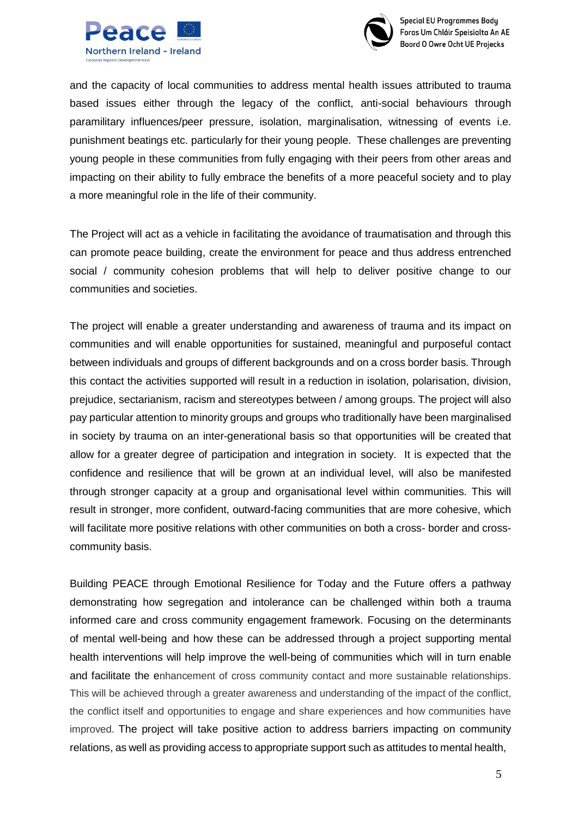



and the capacity of local communities to address mental health issues attributed to trauma based issues either through the legacy of the conflict, anti-social behaviours through paramilitary influences/peer pressure, isolation, marginalisation, witnessing of events i.e. punishment beatings etc. particularly for their young people. These challenges are preventing young people in these communities from fully engaging with their peers from other areas and impacting on their ability to fully embrace the benefits of a more peaceful society and to play a more meaningful role in the life of their community.

The Project will act as a vehicle in facilitating the avoidance of traumatisation and through this can promote peace building, create the environment for peace and thus address entrenched social / community cohesion problems that will help to deliver positive change to our communities and societies.

The project will enable a greater understanding and awareness of trauma and its impact on communities and will enable opportunities for sustained, meaningful and purposeful contact between individuals and groups of different backgrounds and on a cross border basis. Through this contact the activities supported will result in a reduction in isolation, polarisation, division, prejudice, sectarianism, racism and stereotypes between / among groups. The project will also pay particular attention to minority groups and groups who traditionally have been marginalised in society by trauma on an inter-generational basis so that opportunities will be created that allow for a greater degree of participation and integration in society. It is expected that the confidence and resilience that will be grown at an individual level, will also be manifested through stronger capacity at a group and organisational level within communities. This will result in stronger, more confident, outward-facing communities that are more cohesive, which will facilitate more positive relations with other communities on both a cross- border and crosscommunity basis.

Building PEACE through Emotional Resilience for Today and the Future offers a pathway demonstrating how segregation and intolerance can be challenged within both a trauma informed care and cross community engagement framework. Focusing on the determinants of mental well-being and how these can be addressed through a project supporting mental health interventions will help improve the well-being of communities which will in turn enable and facilitate the enhancement of cross community contact and more sustainable relationships. This will be achieved through a greater awareness and understanding of the impact of the conflict, the conflict itself and opportunities to engage and share experiences and how communities have improved. The project will take positive action to address barriers impacting on community relations, as well as providing access to appropriate support such as attitudes to mental health,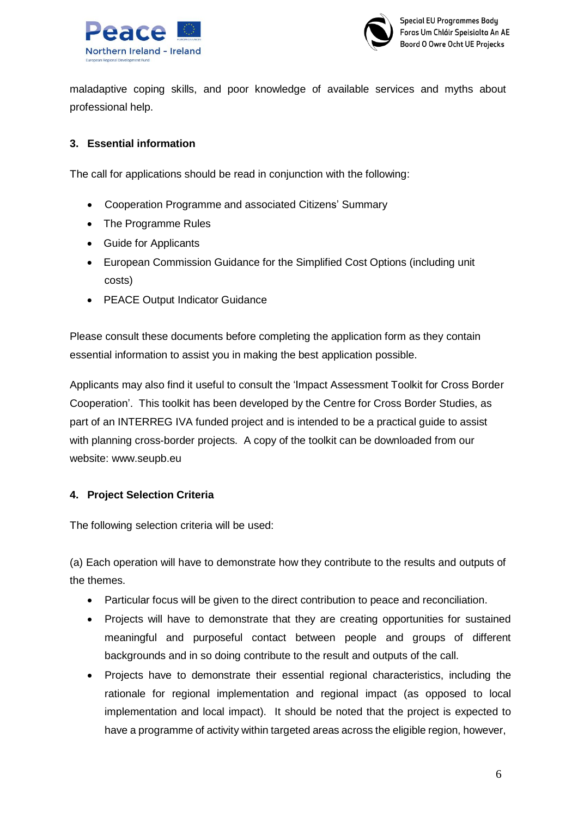



maladaptive coping skills, and poor knowledge of available services and myths about professional help.

### **3. Essential information**

The call for applications should be read in conjunction with the following:

- Cooperation Programme and associated Citizens' Summary
- The Programme Rules
- Guide for Applicants
- European Commission Guidance for the Simplified Cost Options (including unit costs)
- PEACE Output Indicator Guidance

Please consult these documents before completing the application form as they contain essential information to assist you in making the best application possible.

Applicants may also find it useful to consult the 'Impact Assessment Toolkit for Cross Border Cooperation'. This toolkit has been developed by the Centre for Cross Border Studies, as part of an INTERREG IVA funded project and is intended to be a practical guide to assist with planning cross-border projects. A copy of the toolkit can be downloaded from our website: [www.seupb.eu](http://www.seupb.eu/)

### **4. Project Selection Criteria**

The following selection criteria will be used:

(a) Each operation will have to demonstrate how they contribute to the results and outputs of the themes.

- Particular focus will be given to the direct contribution to peace and reconciliation.
- Projects will have to demonstrate that they are creating opportunities for sustained meaningful and purposeful contact between people and groups of different backgrounds and in so doing contribute to the result and outputs of the call.
- Projects have to demonstrate their essential regional characteristics, including the rationale for regional implementation and regional impact (as opposed to local implementation and local impact). It should be noted that the project is expected to have a programme of activity within targeted areas across the eligible region, however,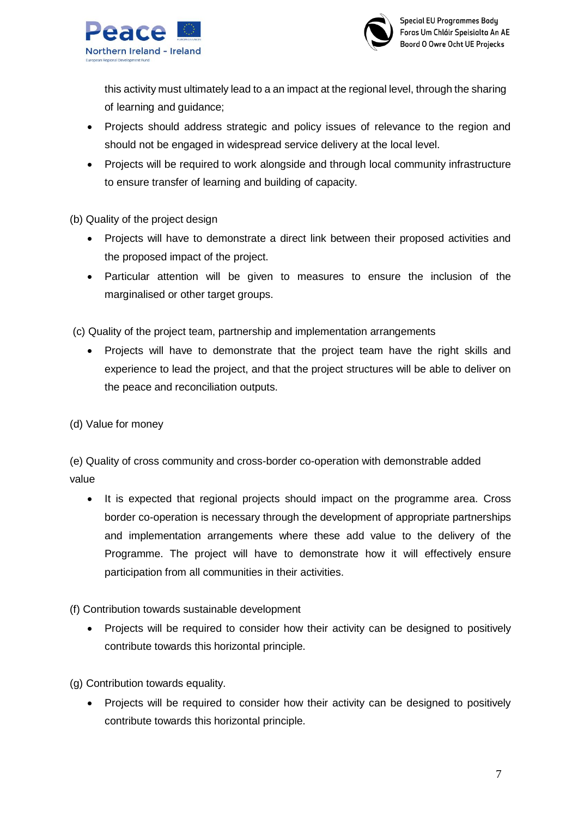



this activity must ultimately lead to a an impact at the regional level, through the sharing of learning and guidance;

- Projects should address strategic and policy issues of relevance to the region and should not be engaged in widespread service delivery at the local level.
- Projects will be required to work alongside and through local community infrastructure to ensure transfer of learning and building of capacity.

(b) Quality of the project design

- Projects will have to demonstrate a direct link between their proposed activities and the proposed impact of the project.
- Particular attention will be given to measures to ensure the inclusion of the marginalised or other target groups.

(c) Quality of the project team, partnership and implementation arrangements

- Projects will have to demonstrate that the project team have the right skills and experience to lead the project, and that the project structures will be able to deliver on the peace and reconciliation outputs.
- (d) Value for money

(e) Quality of cross community and cross-border co-operation with demonstrable added value

• It is expected that regional projects should impact on the programme area. Cross border co-operation is necessary through the development of appropriate partnerships and implementation arrangements where these add value to the delivery of the Programme. The project will have to demonstrate how it will effectively ensure participation from all communities in their activities.

(f) Contribution towards sustainable development

• Projects will be required to consider how their activity can be designed to positively contribute towards this horizontal principle.

(g) Contribution towards equality.

• Projects will be required to consider how their activity can be designed to positively contribute towards this horizontal principle.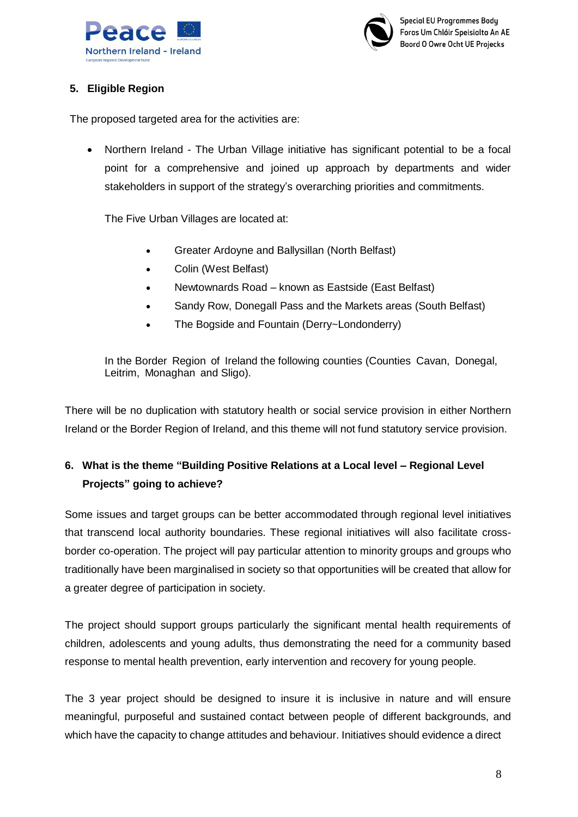



#### **5. Eligible Region**

The proposed targeted area for the activities are:

 Northern Ireland - The Urban Village initiative has significant potential to be a focal point for a comprehensive and joined up approach by departments and wider stakeholders in support of the strategy's overarching priorities and commitments.

The Five Urban Villages are located at:

- Greater Ardoyne and Ballysillan (North Belfast)
- Colin (West Belfast)
- Newtownards Road known as Eastside (East Belfast)
- Sandy Row, Donegall Pass and the Markets areas (South Belfast)
- The Bogside and Fountain (Derry~Londonderry)

In the Border Region of Ireland the following counties (Counties Cavan, Donegal, Leitrim, Monaghan and Sligo).

There will be no duplication with statutory health or social service provision in either Northern Ireland or the Border Region of Ireland, and this theme will not fund statutory service provision.

## **6. What is the theme "Building Positive Relations at a Local level – Regional Level Projects" going to achieve?**

Some issues and target groups can be better accommodated through regional level initiatives that transcend local authority boundaries. These regional initiatives will also facilitate crossborder co-operation. The project will pay particular attention to minority groups and groups who traditionally have been marginalised in society so that opportunities will be created that allow for a greater degree of participation in society.

The project should support groups particularly the significant mental health requirements of children, adolescents and young adults, thus demonstrating the need for a community based response to mental health prevention, early intervention and recovery for young people.

The 3 year project should be designed to insure it is inclusive in nature and will ensure meaningful, purposeful and sustained contact between people of different backgrounds, and which have the capacity to change attitudes and behaviour. Initiatives should evidence a direct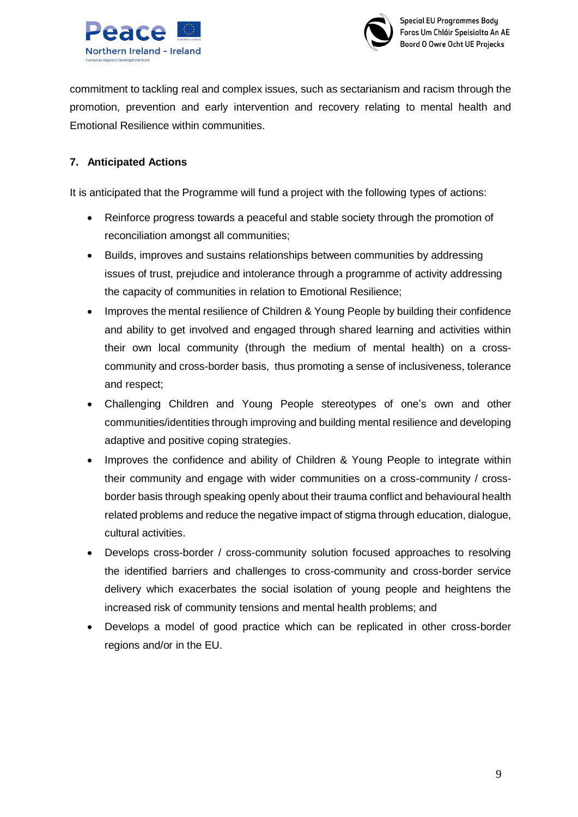



commitment to tackling real and complex issues, such as sectarianism and racism through the promotion, prevention and early intervention and recovery relating to mental health and Emotional Resilience within communities.

#### **7. Anticipated Actions**

It is anticipated that the Programme will fund a project with the following types of actions:

- Reinforce progress towards a peaceful and stable society through the promotion of reconciliation amongst all communities;
- Builds, improves and sustains relationships between communities by addressing issues of trust, prejudice and intolerance through a programme of activity addressing the capacity of communities in relation to Emotional Resilience;
- Improves the mental resilience of Children & Young People by building their confidence and ability to get involved and engaged through shared learning and activities within their own local community (through the medium of mental health) on a crosscommunity and cross-border basis, thus promoting a sense of inclusiveness, tolerance and respect;
- Challenging Children and Young People stereotypes of one's own and other communities/identities through improving and building mental resilience and developing adaptive and positive coping strategies.
- Improves the confidence and ability of Children & Young People to integrate within their community and engage with wider communities on a cross-community / crossborder basis through speaking openly about their trauma conflict and behavioural health related problems and reduce the negative impact of stigma through education, dialogue, cultural activities.
- Develops cross-border / cross-community solution focused approaches to resolving the identified barriers and challenges to cross-community and cross-border service delivery which exacerbates the social isolation of young people and heightens the increased risk of community tensions and mental health problems; and
- Develops a model of good practice which can be replicated in other cross-border regions and/or in the EU.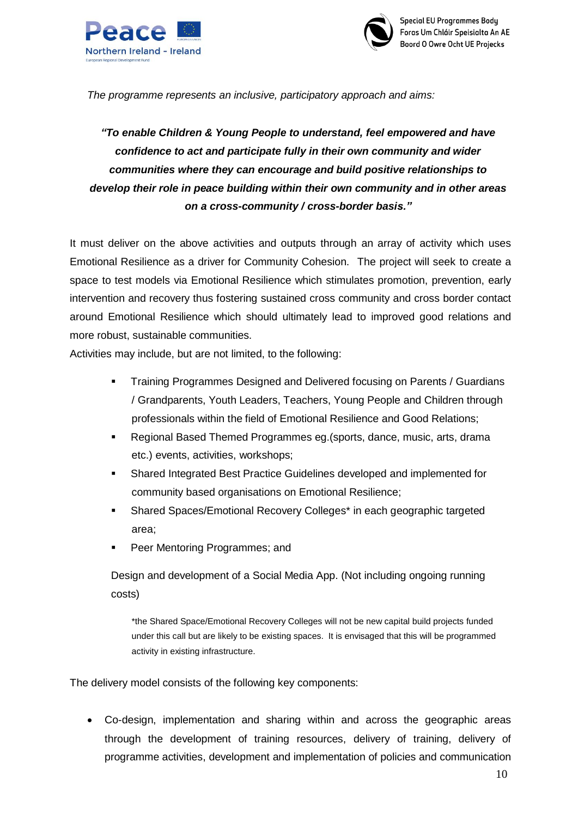



*The programme represents an inclusive, participatory approach and aims:*

# *"To enable Children & Young People to understand, feel empowered and have confidence to act and participate fully in their own community and wider communities where they can encourage and build positive relationships to develop their role in peace building within their own community and in other areas on a cross-community / cross-border basis."*

It must deliver on the above activities and outputs through an array of activity which uses Emotional Resilience as a driver for Community Cohesion. The project will seek to create a space to test models via Emotional Resilience which stimulates promotion, prevention, early intervention and recovery thus fostering sustained cross community and cross border contact around Emotional Resilience which should ultimately lead to improved good relations and more robust, sustainable communities.

Activities may include, but are not limited, to the following:

- **Training Programmes Designed and Delivered focusing on Parents / Guardians** / Grandparents, Youth Leaders, Teachers, Young People and Children through professionals within the field of Emotional Resilience and Good Relations;
- Regional Based Themed Programmes eg.(sports, dance, music, arts, drama etc.) events, activities, workshops;
- Shared Integrated Best Practice Guidelines developed and implemented for community based organisations on Emotional Resilience;
- Shared Spaces/Emotional Recovery Colleges\* in each geographic targeted area;
- Peer Mentoring Programmes; and

Design and development of a Social Media App. (Not including ongoing running costs)

\*the Shared Space/Emotional Recovery Colleges will not be new capital build projects funded under this call but are likely to be existing spaces. It is envisaged that this will be programmed activity in existing infrastructure.

The delivery model consists of the following key components:

 Co-design, implementation and sharing within and across the geographic areas through the development of training resources, delivery of training, delivery of programme activities, development and implementation of policies and communication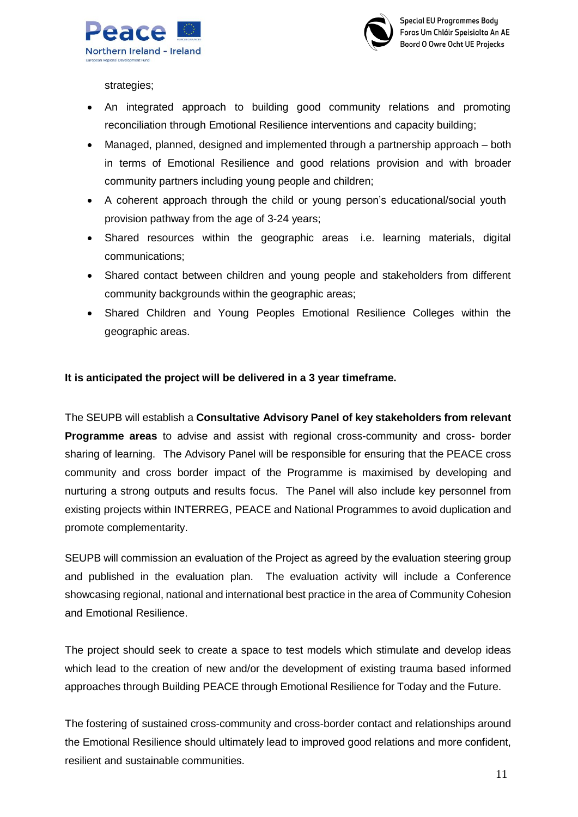



strategies;

- An integrated approach to building good community relations and promoting reconciliation through Emotional Resilience interventions and capacity building;
- Managed, planned, designed and implemented through a partnership approach both in terms of Emotional Resilience and good relations provision and with broader community partners including young people and children;
- A coherent approach through the child or young person's educational/social youth provision pathway from the age of 3-24 years;
- Shared resources within the geographic areas i.e. learning materials, digital communications;
- Shared contact between children and young people and stakeholders from different community backgrounds within the geographic areas;
- Shared Children and Young Peoples Emotional Resilience Colleges within the geographic areas.

#### **It is anticipated the project will be delivered in a 3 year timeframe.**

The SEUPB will establish a **Consultative Advisory Panel of key stakeholders from relevant Programme areas** to advise and assist with regional cross-community and cross- border sharing of learning. The Advisory Panel will be responsible for ensuring that the PEACE cross community and cross border impact of the Programme is maximised by developing and nurturing a strong outputs and results focus. The Panel will also include key personnel from existing projects within INTERREG, PEACE and National Programmes to avoid duplication and promote complementarity.

SEUPB will commission an evaluation of the Project as agreed by the evaluation steering group and published in the evaluation plan. The evaluation activity will include a Conference showcasing regional, national and international best practice in the area of Community Cohesion and Emotional Resilience.

The project should seek to create a space to test models which stimulate and develop ideas which lead to the creation of new and/or the development of existing trauma based informed approaches through Building PEACE through Emotional Resilience for Today and the Future.

The fostering of sustained cross-community and cross-border contact and relationships around the Emotional Resilience should ultimately lead to improved good relations and more confident, resilient and sustainable communities.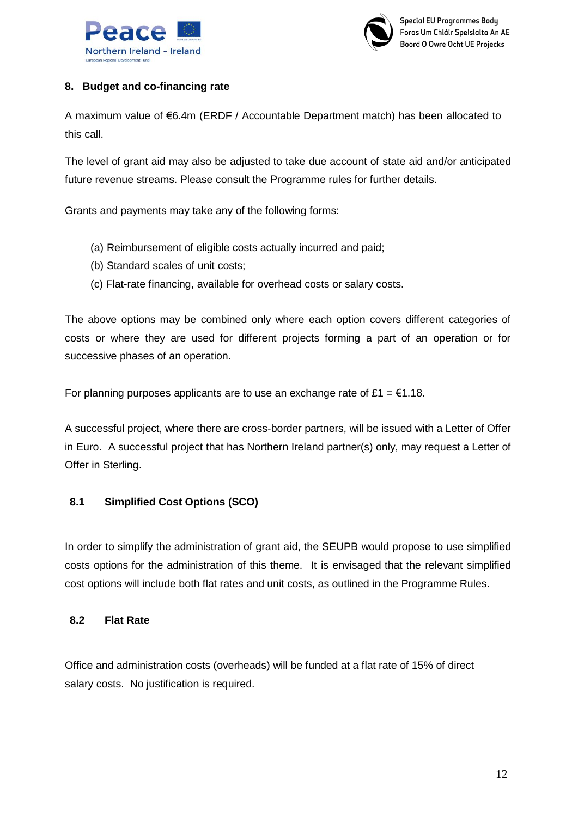



#### **8. Budget and co-financing rate**

A maximum value of €6.4m (ERDF / Accountable Department match) has been allocated to this call.

The level of grant aid may also be adjusted to take due account of state aid and/or anticipated future revenue streams. Please consult the Programme rules for further details.

Grants and payments may take any of the following forms:

- (a) Reimbursement of eligible costs actually incurred and paid;
- (b) Standard scales of unit costs;
- (c) Flat-rate financing, available for overhead costs or salary costs.

The above options may be combined only where each option covers different categories of costs or where they are used for different projects forming a part of an operation or for successive phases of an operation.

For planning purposes applicants are to use an exchange rate of £1 =  $\epsilon$ 1.18.

A successful project, where there are cross-border partners, will be issued with a Letter of Offer in Euro. A successful project that has Northern Ireland partner(s) only, may request a Letter of Offer in Sterling.

### **8.1 Simplified Cost Options (SCO)**

In order to simplify the administration of grant aid, the SEUPB would propose to use simplified costs options for the administration of this theme. It is envisaged that the relevant simplified cost options will include both flat rates and unit costs, as outlined in the Programme Rules.

#### **8.2 Flat Rate**

Office and administration costs (overheads) will be funded at a flat rate of 15% of direct salary costs. No justification is required.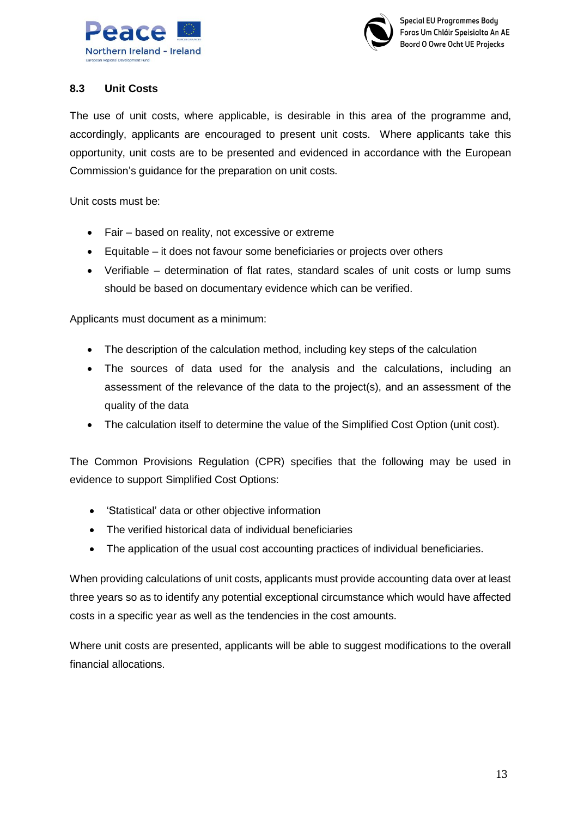



#### **8.3 Unit Costs**

The use of unit costs, where applicable, is desirable in this area of the programme and, accordingly, applicants are encouraged to present unit costs. Where applicants take this opportunity, unit costs are to be presented and evidenced in accordance with the European Commission's guidance for the preparation on unit costs.

Unit costs must be:

- Fair based on reality, not excessive or extreme
- Equitable it does not favour some beneficiaries or projects over others
- Verifiable determination of flat rates, standard scales of unit costs or lump sums should be based on documentary evidence which can be verified.

Applicants must document as a minimum:

- The description of the calculation method, including key steps of the calculation
- The sources of data used for the analysis and the calculations, including an assessment of the relevance of the data to the project(s), and an assessment of the quality of the data
- The calculation itself to determine the value of the Simplified Cost Option (unit cost).

The Common Provisions Regulation (CPR) specifies that the following may be used in evidence to support Simplified Cost Options:

- 'Statistical' data or other objective information
- The verified historical data of individual beneficiaries
- The application of the usual cost accounting practices of individual beneficiaries.

When providing calculations of unit costs, applicants must provide accounting data over at least three years so as to identify any potential exceptional circumstance which would have affected costs in a specific year as well as the tendencies in the cost amounts.

Where unit costs are presented, applicants will be able to suggest modifications to the overall financial allocations.